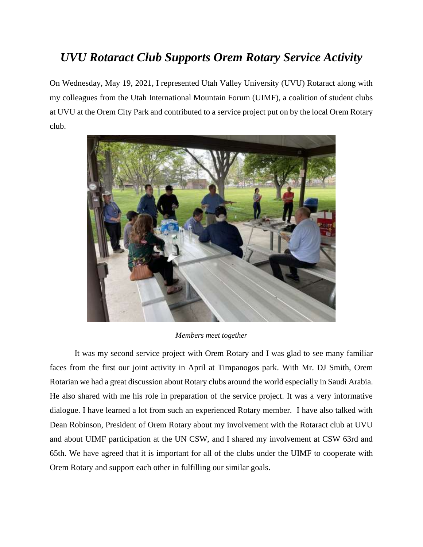## *UVU Rotaract Club Supports Orem Rotary Service Activity*

On Wednesday, May 19, 2021, I represented Utah Valley University (UVU) Rotaract along with my colleagues from the Utah International Mountain Forum (UIMF), a coalition of student clubs at UVU at the Orem City Park and contributed to a service project put on by the local Orem Rotary club.



## *Members meet together*

It was my second service project with Orem Rotary and I was glad to see many familiar faces from the first our joint activity in April at Timpanogos park. With Mr. DJ Smith, Orem Rotarian we had a great discussion about Rotary clubs around the world especially in Saudi Arabia. He also shared with me his role in preparation of the service project. It was a very informative dialogue. I have learned a lot from such an experienced Rotary member. I have also talked with Dean Robinson, President of Orem Rotary about my involvement with the Rotaract club at UVU and about UIMF participation at the UN CSW, and I shared my involvement at CSW 63rd and 65th. We have agreed that it is important for all of the clubs under the UIMF to cooperate with Orem Rotary and support each other in fulfilling our similar goals.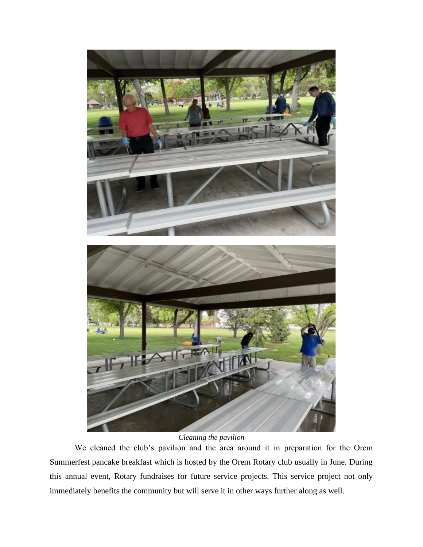

*Cleaning the pavilion*

We cleaned the club's pavilion and the area around it in preparation for the Orem Summerfest pancake breakfast which is hosted by the Orem Rotary club usually in June. During this annual event, Rotary fundraises for future service projects. This service project not only immediately benefits the community but will serve it in other ways further along as well.